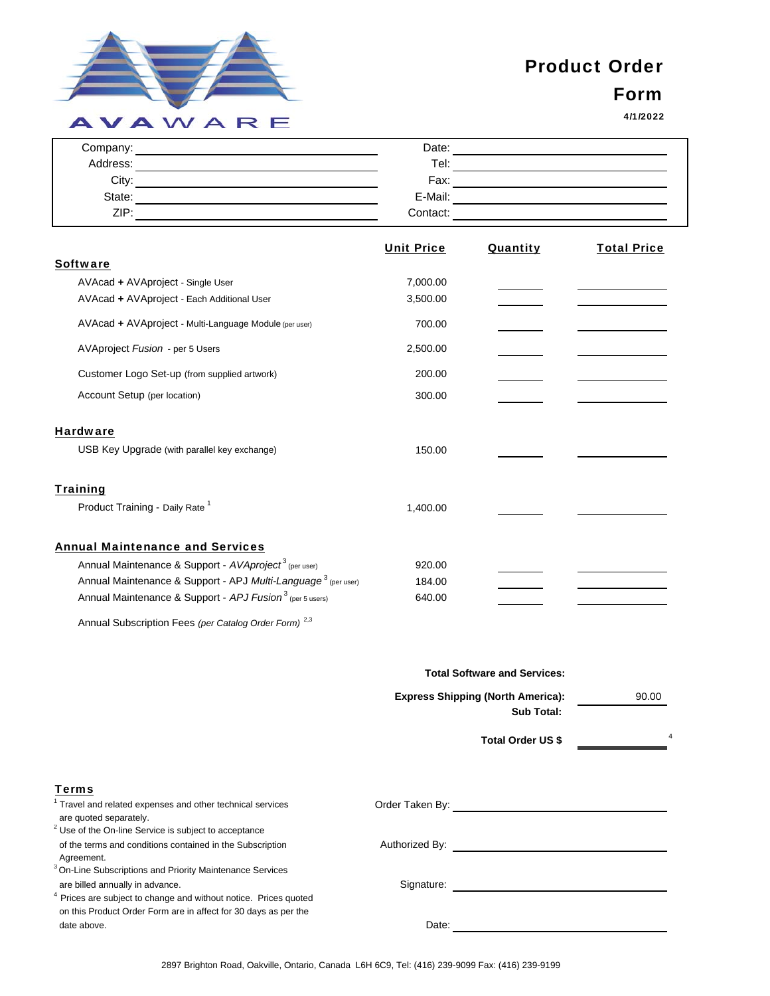

## Product Order

## Form

4/1/2022

| Company: | Date:    |  |
|----------|----------|--|
| Address: | Tel:     |  |
| City:    | Fax:     |  |
| State:   | E-Mail:  |  |
| ZIP:     | Contact: |  |

|                                                                           | <b>Unit Price</b> | <b>Quantity</b> | <b>Total Price</b> |
|---------------------------------------------------------------------------|-------------------|-----------------|--------------------|
| <b>Software</b>                                                           |                   |                 |                    |
| AVAcad + AVAproject - Single User                                         | 7,000.00          |                 |                    |
| AVAcad + AVAproject - Each Additional User                                | 3,500.00          |                 |                    |
| AVAcad + AVAproject - Multi-Language Module (per user)                    | 700.00            |                 |                    |
| AVAproject Fusion - per 5 Users                                           | 2,500.00          |                 |                    |
| Customer Logo Set-up (from supplied artwork)                              | 200.00            |                 |                    |
| Account Setup (per location)                                              | 300.00            |                 |                    |
| <b>Hardware</b>                                                           |                   |                 |                    |
| USB Key Upgrade (with parallel key exchange)                              | 150.00            |                 |                    |
| <u>Training</u>                                                           |                   |                 |                    |
| Product Training - Daily Rate <sup>1</sup>                                | 1,400.00          |                 |                    |
| <b>Annual Maintenance and Services</b>                                    |                   |                 |                    |
| Annual Maintenance & Support - AVAproject <sup>3</sup> (per user)         | 920.00            |                 |                    |
| Annual Maintenance & Support - APJ Multi-Language <sup>3</sup> (per user) | 184.00            |                 |                    |
| Annual Maintenance & Support - APJ Fusion <sup>3</sup> (per 5 users)      | 640.00            |                 |                    |
|                                                                           |                   |                 |                    |

Annual Subscription Fees *(per Catalog Order Form)* 2,3

|                                                                                            | <b>Total Software and Services:</b>      |       |
|--------------------------------------------------------------------------------------------|------------------------------------------|-------|
|                                                                                            | <b>Express Shipping (North America):</b> | 90.00 |
|                                                                                            | <b>Sub Total:</b>                        |       |
|                                                                                            | <b>Total Order US \$</b>                 | 4     |
| <b>Terms</b>                                                                               |                                          |       |
| <sup>1</sup> Travel and related expenses and other technical services                      | Order Taken By:                          |       |
| are quoted separately.<br><sup>2</sup> Use of the On-line Service is subject to acceptance |                                          |       |
| of the terms and conditions contained in the Subscription                                  | Authorized By:                           |       |

| <sup>2</sup> Use of the On-line Service is subject to acceptance |  |
|------------------------------------------------------------------|--|
| of the terms and conditions contained in the Subscription        |  |
| Agreement.                                                       |  |

| <sup>3</sup> On-Line Subscriptions and Priority Maintenance Services |  |
|----------------------------------------------------------------------|--|
| are billed annually in advance.                                      |  |

4 Prices are subject to change and without notice. Prices quoted on this Product Order Form are in affect for 30 days as per the date above. Date: Date:

Signature: